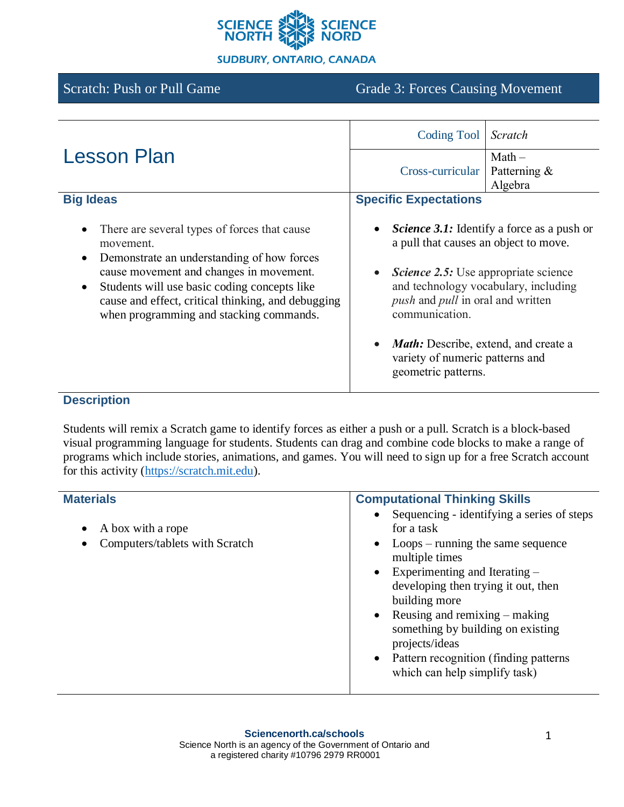

**SUDBURY, ONTARIO, CANADA** 

# Scratch: Push or Pull Game Grade 3: Forces Causing Movement

|                                                                                                                                                                                                                                                                                                                                            | Coding Tool                                                                                                                                                                                                                                           | Scratch                                |  |
|--------------------------------------------------------------------------------------------------------------------------------------------------------------------------------------------------------------------------------------------------------------------------------------------------------------------------------------------|-------------------------------------------------------------------------------------------------------------------------------------------------------------------------------------------------------------------------------------------------------|----------------------------------------|--|
| <b>Lesson Plan</b>                                                                                                                                                                                                                                                                                                                         | Cross-curricular                                                                                                                                                                                                                                      | $Math -$<br>Patterning $\&$<br>Algebra |  |
| <b>Big Ideas</b>                                                                                                                                                                                                                                                                                                                           | <b>Specific Expectations</b>                                                                                                                                                                                                                          |                                        |  |
| There are several types of forces that cause<br>$\bullet$<br>movement.<br>Demonstrate an understanding of how forces<br>$\bullet$<br>cause movement and changes in movement.<br>Students will use basic coding concepts like<br>$\bullet$<br>cause and effect, critical thinking, and debugging<br>when programming and stacking commands. | <i>Science 3.1:</i> Identify a force as a push or<br>a pull that causes an object to move.<br><b>Science 2.5:</b> Use appropriate science<br>$\bullet$<br>and technology vocabulary, including<br>push and pull in oral and written<br>communication. |                                        |  |
|                                                                                                                                                                                                                                                                                                                                            | <b>Math:</b> Describe, extend, and create a<br>variety of numeric patterns and<br>geometric patterns.                                                                                                                                                 |                                        |  |

## **Description**

Students will remix a Scratch game to identify forces as either a push or a pull. Scratch is a block-based visual programming language for students. Students can drag and combine code blocks to make a range of programs which include stories, animations, and games. You will need to sign up for a free Scratch account for this activity [\(https://scratch.mit.edu\)](https://scratch.mit.edu/).

| <b>Materials</b>                                                      | <b>Computational Thinking Skills</b>                                                                                                                                                                                                                                                                                                                                                                                 |  |
|-----------------------------------------------------------------------|----------------------------------------------------------------------------------------------------------------------------------------------------------------------------------------------------------------------------------------------------------------------------------------------------------------------------------------------------------------------------------------------------------------------|--|
| A box with a rope<br>$\bullet$<br>Computers/tablets with Scratch<br>٠ | Sequencing - identifying a series of steps<br>for a task<br>$Loops - running$ the same sequence<br>$\bullet$<br>multiple times<br>Experimenting and Iterating –<br>$\bullet$<br>developing then trying it out, then<br>building more<br>Reusing and remixing – making<br>$\bullet$<br>something by building on existing<br>projects/ideas<br>Pattern recognition (finding patterns)<br>which can help simplify task) |  |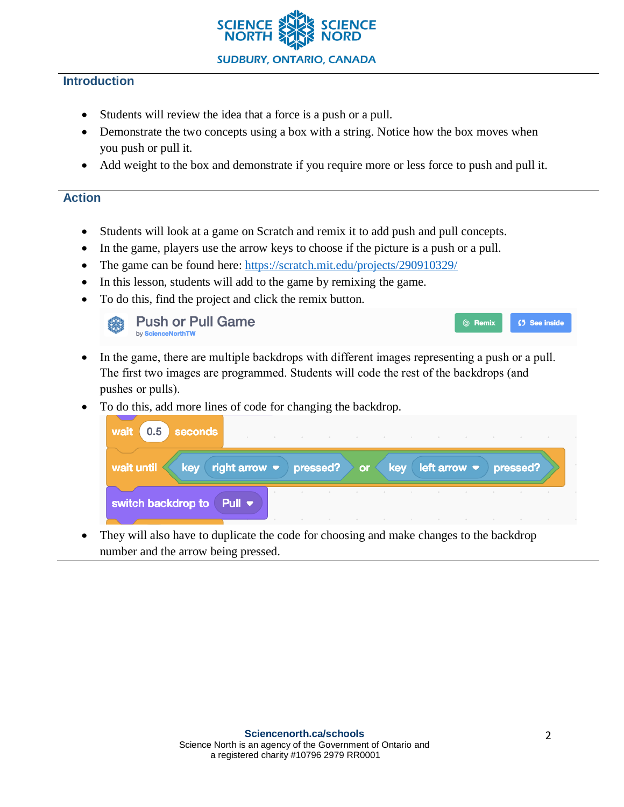

## **Introduction**

- Students will review the idea that a force is a push or a pull.
- Demonstrate the two concepts using a box with a string. Notice how the box moves when you push or pull it.
- Add weight to the box and demonstrate if you require more or less force to push and pull it.

### **Action**

- Students will look at a game on Scratch and remix it to add push and pull concepts.
- In the game, players use the arrow keys to choose if the picture is a push or a pull.
- The game can be found here: <https://scratch.mit.edu/projects/290910329/>
- In this lesson, students will add to the game by remixing the game.
- To do this, find the project and click the remix button.



- In the game, there are multiple backdrops with different images representing a push or a pull. The first two images are programmed. Students will code the rest of the backdrops (and pushes or pulls).
- To do this, add more lines of code for changing the backdrop.

| wait<br>0.5<br>seconds                        |                                                                                             |  |  | the contract of the contract of the contract of the contract of the contract of the contract of the contract of |  |
|-----------------------------------------------|---------------------------------------------------------------------------------------------|--|--|-----------------------------------------------------------------------------------------------------------------|--|
| wait until                                    | key right arrow $\bullet$ pressed? $\bullet$ or $\bullet$ key left arrow $\bullet$ pressed? |  |  |                                                                                                                 |  |
| switch backdrop to Pull $\blacktriangleright$ |                                                                                             |  |  |                                                                                                                 |  |

They will also have to duplicate the code for choosing and make changes to the backdrop number and the arrow being pressed.

◎ Remix

⊈5 See inside